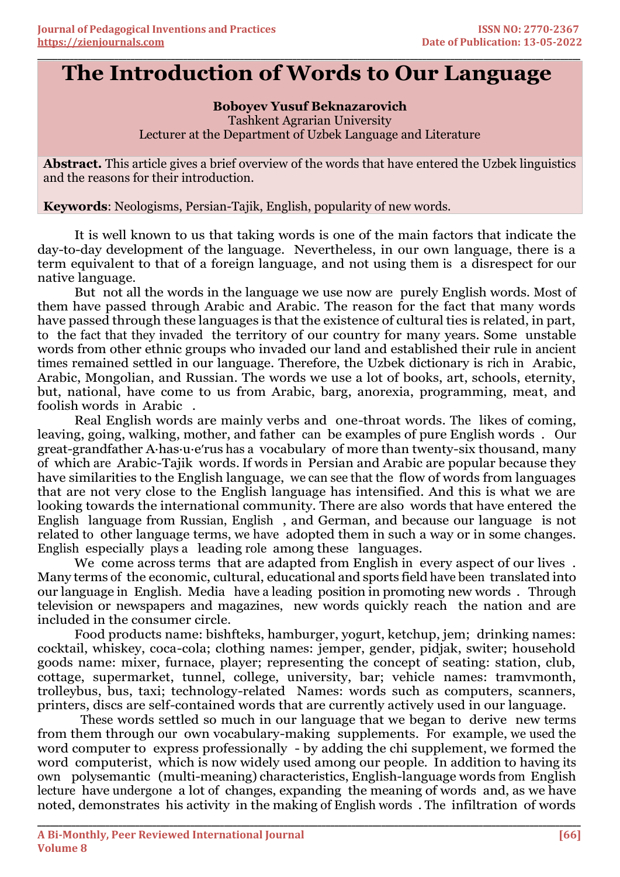## **\_\_\_\_\_\_\_\_\_\_\_\_\_\_\_\_\_\_\_\_\_\_\_\_\_\_\_\_\_\_\_\_\_\_\_\_\_\_\_\_\_\_\_\_\_\_\_\_\_\_\_\_\_\_\_\_\_\_\_\_\_\_\_\_\_\_\_\_\_\_\_\_\_\_\_\_\_\_\_\_\_\_\_\_\_\_\_\_\_\_\_\_\_\_\_\_\_\_\_\_\_\_\_\_\_\_\_\_\_\_\_\_\_\_\_\_\_\_\_\_\_\_\_\_\_\_\_\_\_\_\_\_\_\_ The Introduction of Words to Our Language**

**Boboyev Yusuf Beknazarovich** Tashkent Agrarian University Lecturer at the Department of Uzbek Language and Literature

**Abstract.** This article gives a brief overview of the words that have entered the Uzbek linguistics and the reasons for their introduction.

**Keywords**: Neologisms, Persian-Tajik, English, popularity of new words.

It is well known to us that taking words is one of the main factors that indicate the day-to-day development of the language. Nevertheless, in our own language, there is a term equivalent to that of a foreign language, and not using them is a disrespect for our native language.

But not all the words in the language we use now are purely English words. Most of them have passed through Arabic and Arabic. The reason for the fact that many words have passed through these languages is that the existence of cultural ties is related, in part, to the fact that they invaded the territory of our country for many years. Some unstable words from other ethnic groups who invaded our land and established their rule in ancient times remained settled in our language. Therefore, the Uzbek dictionary is rich in Arabic, Arabic, Mongolian, and Russian. The words we use a lot of books, art, schools, eternity, but, national, have come to us from Arabic, barg, anorexia, programming, meat, and foolish words in Arabic .

Real English words are mainly verbs and one-throat words. The likes of coming, leaving, going, walking, mother, and father can be examples of pure English words . Our great-grandfather A·has·u·eʹrus has a vocabulary of more than twenty-six thousand, many of which are Arabic-Tajik words. If words in Persian and Arabic are popular because they have similarities to the English language, we can see that the flow of words from languages that are not very close to the English language has intensified. And this is what we are looking towards the international community. There are also words that have entered the English language from Russian, English , and German, and because our language is not related to other language terms, we have adopted them in such a way or in some changes. English especially plays a leading role among these languages.

We come across terms that are adapted from English in every aspect of our lives. Many terms of the economic, cultural, educational and sports field have been translated into our language in English. Media have a leading position in promoting new words . Through television or newspapers and magazines, new words quickly reach the nation and are included in the consumer circle.

Food products name: bishfteks, hamburger, yogurt, ketchup, jem; drinking names: cocktail, whiskey, coca-cola; clothing names: jemper, gender, pidjak, switer; household goods name: mixer, furnace, player; representing the concept of seating: station, club, cottage, supermarket, tunnel, college, university, bar; vehicle names: tramvmonth, trolleybus, bus, taxi; technology-related Names: words such as computers, scanners, printers, discs are self-contained words that are currently actively used in our language.

These words settled so much in our language that we began to derive new terms from them through our own vocabulary-making supplements. For example, we used the word computer to express professionally - by adding the chi supplement, we formed the word computerist, which is now widely used among our people. In addition to having its own polysemantic (multi-meaning) characteristics, English-language words from English lecture have undergone a lot of changes, expanding the meaning of words and, as we have noted, demonstrates his activity in the making of English words . The infiltration of words

**\_\_\_\_\_\_\_\_\_\_\_\_\_\_\_\_\_\_\_\_\_\_\_\_\_\_\_\_\_\_\_\_\_\_\_\_\_\_\_\_\_\_\_\_\_\_\_\_\_\_\_\_\_\_\_\_\_\_\_\_\_\_\_\_\_\_\_\_\_\_\_\_\_\_\_\_\_\_\_\_\_\_\_\_\_\_\_\_\_\_\_\_\_\_\_\_\_\_\_\_\_\_\_\_\_\_\_\_\_\_\_\_\_\_\_\_\_\_\_\_\_\_\_\_\_\_\_\_**